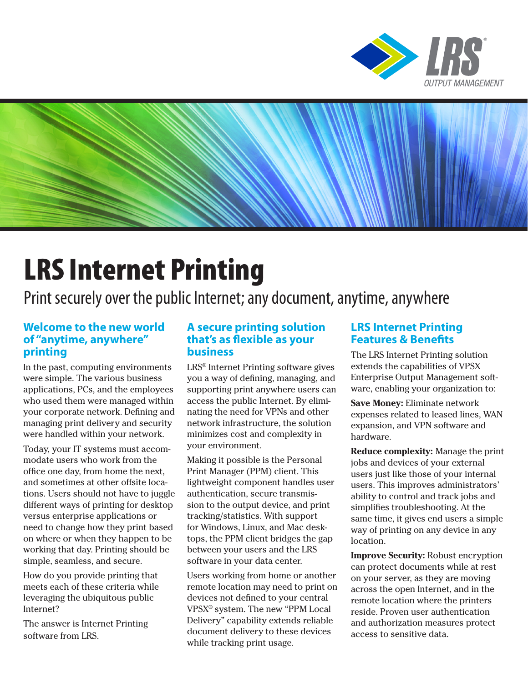



# LRS Internet Printing

Print securely over the public Internet; any document, anytime, anywhere

#### **Welcome to the new world of "anytime, anywhere" printing**

In the past, computing environments were simple. The various business applications, PCs, and the employees who used them were managed within your corporate network. Defining and managing print delivery and security were handled within your network.

Today, your IT systems must accommodate users who work from the office one day, from home the next, and sometimes at other offsite locations. Users should not have to juggle different ways of printing for desktop versus enterprise applications or need to change how they print based on where or when they happen to be working that day. Printing should be simple, seamless, and secure.

How do you provide printing that meets each of these criteria while leveraging the ubiquitous public Internet?

The answer is Internet Printing software from LRS.

#### **A secure printing solution that's as flexible as your business**

LRS® Internet Printing software gives you a way of defining, managing, and supporting print anywhere users can access the public Internet. By eliminating the need for VPNs and other network infrastructure, the solution minimizes cost and complexity in your environment.

Making it possible is the Personal Print Manager (PPM) client. This lightweight component handles user authentication, secure transmission to the output device, and print tracking/statistics. With support for Windows, Linux, and Mac desktops, the PPM client bridges the gap between your users and the LRS software in your data center.

Users working from home or another remote location may need to print on devices not defined to your central VPSX® system. The new "PPM Local Delivery" capability extends reliable document delivery to these devices while tracking print usage.

#### **LRS Internet Printing Features & Benefits**

The LRS Internet Printing solution extends the capabilities of VPSX Enterprise Output Management software, enabling your organization to:

**Save Money:** Eliminate network expenses related to leased lines, WAN expansion, and VPN software and hardware.

**Reduce complexity:** Manage the print jobs and devices of your external users just like those of your internal users. This improves administrators' ability to control and track jobs and simplifies troubleshooting. At the same time, it gives end users a simple way of printing on any device in any location.

**Improve Security:** Robust encryption can protect documents while at rest on your server, as they are moving across the open Internet, and in the remote location where the printers reside. Proven user authentication and authorization measures protect access to sensitive data.